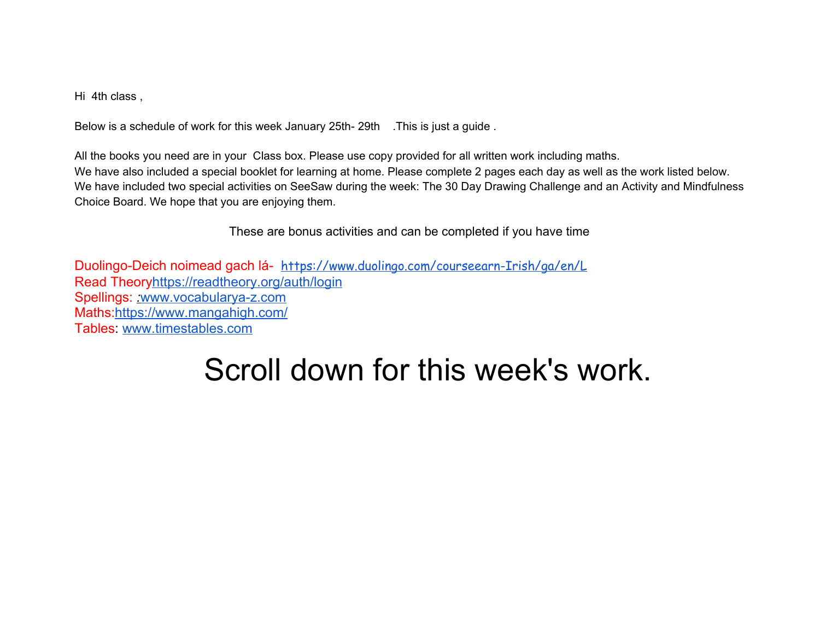Hi 4th class ,

Below is a schedule of work for this week January 25th- 29th . This is just a guide .

All the books you need are in your Class box. Please use copy provided for all written work including maths. We have also included a special booklet for learning at home. Please complete 2 pages each day as well as the work listed below. We have included two special activities on SeeSaw during the week: The 30 Day Drawing Challenge and an Activity and Mindfulness Choice Board. We hope that you are enjoying them.

These are bonus activities and can be completed if you have time

Duolingo-Deich noimead gach lá- [https://www.duolingo.com/courseearn-Irish/ga/en/L](https://www.duolingo.com/course/ga/en/Learn-Irish) Read Theor[yhttps://readtheory.org/auth/login](https://readtheory.org/auth/login) Spellings: [www.vocabularya-z.com](http://www.vocabularya-z.com/) Maths:<https://www.mangahigh.com/> Tables: [www.timestables.com](http://www.timestables.com/)

## Scroll down for this week's work.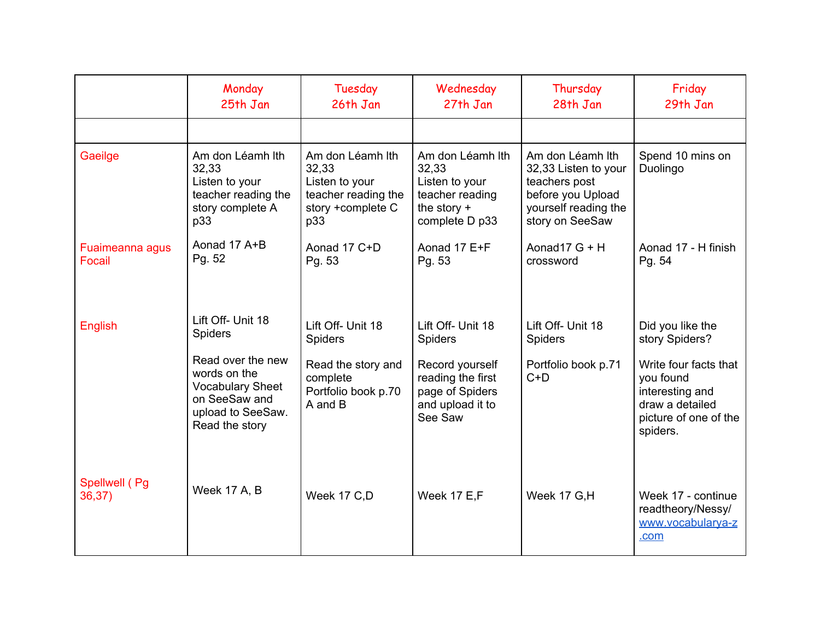|                           | Monday<br>25th Jan                                                                                                   | Tuesday<br>26th Jan                                                                            | Wednesday<br>27th Jan                                                                             | Thursday<br>28th Jan                                                                                                      | Friday<br>29th Jan                                                                                            |
|---------------------------|----------------------------------------------------------------------------------------------------------------------|------------------------------------------------------------------------------------------------|---------------------------------------------------------------------------------------------------|---------------------------------------------------------------------------------------------------------------------------|---------------------------------------------------------------------------------------------------------------|
|                           |                                                                                                                      |                                                                                                |                                                                                                   |                                                                                                                           |                                                                                                               |
| Gaeilge                   | Am don Léamh lth<br>32,33<br>Listen to your<br>teacher reading the<br>story complete A<br>p33                        | Am don Léamh Ith<br>32,33<br>Listen to your<br>teacher reading the<br>story +complete C<br>p33 | Am don Léamh lth<br>32,33<br>Listen to your<br>teacher reading<br>the story $+$<br>complete D p33 | Am don Léamh lth<br>32,33 Listen to your<br>teachers post<br>before you Upload<br>yourself reading the<br>story on SeeSaw | Spend 10 mins on<br>Duolingo                                                                                  |
| Fuaimeanna agus<br>Focail | Aonad 17 A+B<br>Pg. 52                                                                                               | Aonad 17 C+D<br>Pg. 53                                                                         | Aonad 17 E+F<br>Pg. 53                                                                            | Aonad <sub>17</sub> $G + H$<br>crossword                                                                                  | Aonad 17 - H finish<br>Pg. 54                                                                                 |
| English                   | Lift Off- Unit 18<br><b>Spiders</b>                                                                                  | Lift Off- Unit 18<br><b>Spiders</b>                                                            | Lift Off- Unit 18<br><b>Spiders</b>                                                               | Lift Off- Unit 18<br><b>Spiders</b>                                                                                       | Did you like the<br>story Spiders?                                                                            |
|                           | Read over the new<br>words on the<br><b>Vocabulary Sheet</b><br>on SeeSaw and<br>upload to SeeSaw.<br>Read the story | Read the story and<br>complete<br>Portfolio book p.70<br>A and B                               | Record yourself<br>reading the first<br>page of Spiders<br>and upload it to<br>See Saw            | Portfolio book p.71<br>$C+D$                                                                                              | Write four facts that<br>you found<br>interesting and<br>draw a detailed<br>picture of one of the<br>spiders. |
| Spellwell (Pg<br>36,37)   | <b>Week 17 A, B</b>                                                                                                  | Week 17 C,D                                                                                    | Week 17 E,F                                                                                       | Week 17 G,H                                                                                                               | Week 17 - continue<br>readtheory/Nessy/<br>www.vocabularya-z<br>.com                                          |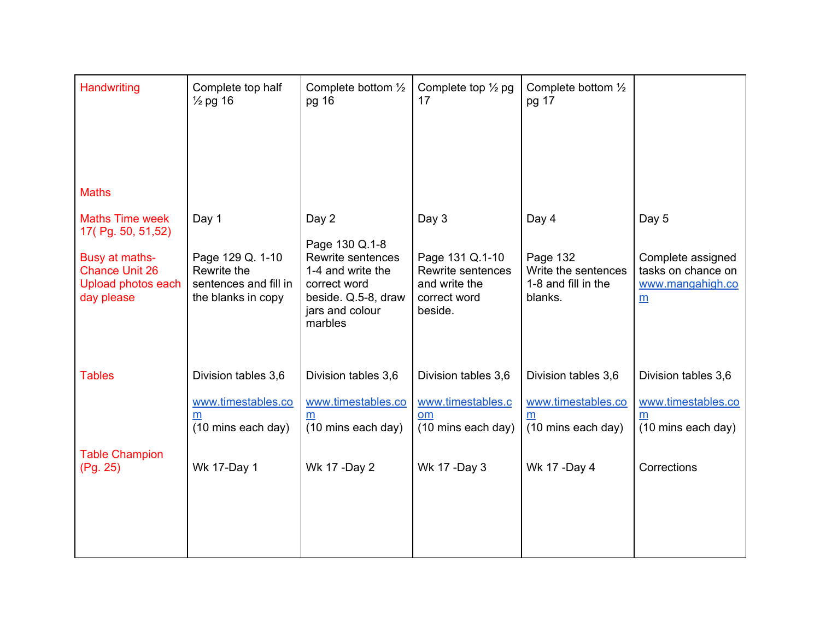| Handwriting                                                                                      | Complete top half<br>$\frac{1}{2}$ pg 16                                       | Complete bottom $\frac{1}{2}$<br>pg 16                                                                                        | Complete top $\frac{1}{2}$ pg<br>17                                              | Complete bottom $\frac{1}{2}$<br>pg 17                               |                                                                      |
|--------------------------------------------------------------------------------------------------|--------------------------------------------------------------------------------|-------------------------------------------------------------------------------------------------------------------------------|----------------------------------------------------------------------------------|----------------------------------------------------------------------|----------------------------------------------------------------------|
| <b>Maths</b><br><b>Maths Time week</b>                                                           | Day 1                                                                          | Day 2                                                                                                                         | Day 3                                                                            | Day 4                                                                | Day 5                                                                |
| 17(Pg. 50, 51,52)<br>Busy at maths-<br><b>Chance Unit 26</b><br>Upload photos each<br>day please | Page 129 Q. 1-10<br>Rewrite the<br>sentences and fill in<br>the blanks in copy | Page 130 Q.1-8<br>Rewrite sentences<br>1-4 and write the<br>correct word<br>beside. Q.5-8, draw<br>jars and colour<br>marbles | Page 131 Q.1-10<br>Rewrite sentences<br>and write the<br>correct word<br>beside. | Page 132<br>Write the sentences<br>1-8 and fill in the<br>blanks.    | Complete assigned<br>tasks on chance on<br>www.mangahigh.co<br>m     |
| <b>Tables</b>                                                                                    | Division tables 3,6<br>www.timestables.co<br>m<br>(10 mins each day)           | Division tables 3,6<br>www.timestables.co<br>m<br>(10 mins each day)                                                          | Division tables 3,6<br>www.timestables.c<br><b>om</b><br>(10 mins each day)      | Division tables 3,6<br>www.timestables.co<br>m<br>(10 mins each day) | Division tables 3,6<br>www.timestables.co<br>m<br>(10 mins each day) |
| <b>Table Champion</b><br>(Pg. 25)                                                                | <b>Wk 17-Day 1</b>                                                             | Wk 17 - Day 2                                                                                                                 | Wk 17 - Day 3                                                                    | Wk 17 - Day 4                                                        | Corrections                                                          |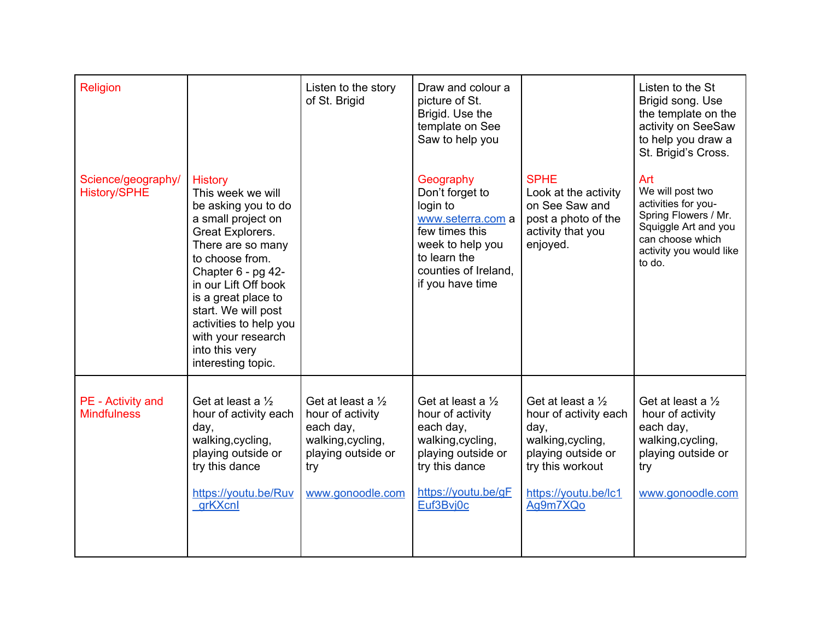| <b>Religion</b>                           |                                                                                                                                                                                                                                                                                                                                  | Listen to the story<br>of St. Brigid                                                                                                | Draw and colour a<br>picture of St.<br>Brigid. Use the<br>template on See<br>Saw to help you                                                                    |                                                                                                                                                                  | Listen to the St<br>Brigid song. Use<br>the template on the<br>activity on SeeSaw<br>to help you draw a<br>St. Brigid's Cross.                          |
|-------------------------------------------|----------------------------------------------------------------------------------------------------------------------------------------------------------------------------------------------------------------------------------------------------------------------------------------------------------------------------------|-------------------------------------------------------------------------------------------------------------------------------------|-----------------------------------------------------------------------------------------------------------------------------------------------------------------|------------------------------------------------------------------------------------------------------------------------------------------------------------------|---------------------------------------------------------------------------------------------------------------------------------------------------------|
| Science/geography/<br><b>History/SPHE</b> | <b>History</b><br>This week we will<br>be asking you to do<br>a small project on<br>Great Explorers.<br>There are so many<br>to choose from.<br>Chapter 6 - pg 42-<br>in our Lift Off book<br>is a great place to<br>start. We will post<br>activities to help you<br>with your research<br>into this very<br>interesting topic. |                                                                                                                                     | Geography<br>Don't forget to<br>login to<br>www.seterra.com a<br>few times this<br>week to help you<br>to learn the<br>counties of Ireland,<br>if you have time | <b>SPHE</b><br>Look at the activity<br>on See Saw and<br>post a photo of the<br>activity that you<br>enjoyed.                                                    | Art<br>We will post two<br>activities for you-<br>Spring Flowers / Mr.<br>Squiggle Art and you<br>can choose which<br>activity you would like<br>to do. |
| PE - Activity and<br><b>Mindfulness</b>   | Get at least a $\frac{1}{2}$<br>hour of activity each<br>day,<br>walking, cycling,<br>playing outside or<br>try this dance<br>https://youtu.be/Ruv<br>grKXcnl                                                                                                                                                                    | Get at least a $\frac{1}{2}$<br>hour of activity<br>each day,<br>walking, cycling,<br>playing outside or<br>try<br>www.gonoodle.com | Get at least a $\frac{1}{2}$<br>hour of activity<br>each day,<br>walking, cycling,<br>playing outside or<br>try this dance<br>https://youtu.be/gF<br>Euf3Bvj0c  | Get at least a $\frac{1}{2}$<br>hour of activity each<br>day,<br>walking, cycling,<br>playing outside or<br>try this workout<br>https://youtu.be/lc1<br>Ag9m7XQo | Get at least a $\frac{1}{2}$<br>hour of activity<br>each day,<br>walking, cycling,<br>playing outside or<br>try<br>www.gonoodle.com                     |